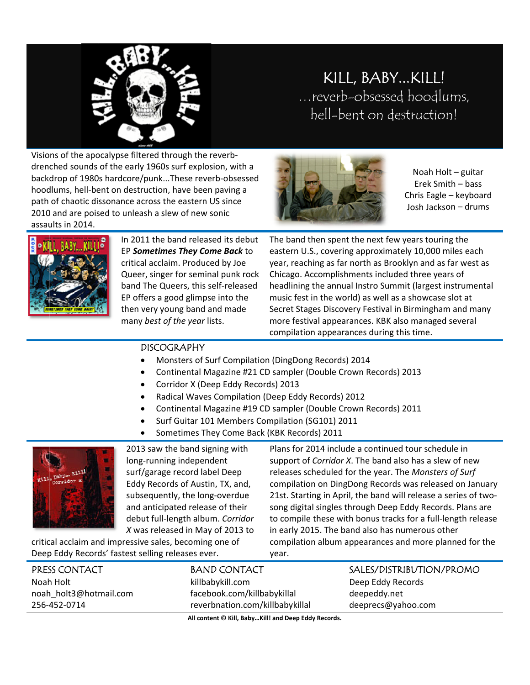

## KILL, BABY...KILL! ...reverb-obsessed hoodlums, hell-bent on destruction!

Visions of the apocalypse filtered through the reverbdrenched sounds of the early 1960s surf explosion, with a backdrop of 1980s hardcore/punk...These reverb-obsessed hoodlums, hell-bent on destruction, have been paving a path of chaotic dissonance across the eastern US since 2010 and are poised to unleash a slew of new sonic assaults in 2014.



Noah Holt - guitar Erek Smith - bass Chris Eagle - keyboard Josh Jackson - drums



In 2011 the band released its debut EP Sometimes They Come Back to critical acclaim. Produced by Joe Queer, singer for seminal punk rock band The Queers, this self-released EP offers a good glimpse into the then very young band and made many best of the year lists.

The band then spent the next few years touring the eastern U.S., covering approximately 10,000 miles each year, reaching as far north as Brooklyn and as far west as Chicago. Accomplishments included three years of headlining the annual Instro Summit (largest instrumental music fest in the world) as well as a showcase slot at Secret Stages Discovery Festival in Birmingham and many more festival appearances. KBK also managed several compilation appearances during this time.

## **DISCOGRAPHY**

- Monsters of Surf Compilation (DingDong Records) 2014
- Continental Magazine #21 CD sampler (Double Crown Records) 2013  $\bullet$
- Corridor X (Deep Eddy Records) 2013  $\bullet$
- Radical Waves Compilation (Deep Eddy Records) 2012  $\bullet$
- Continental Magazine #19 CD sampler (Double Crown Records) 2011  $\bullet$
- Surf Guitar 101 Members Compilation (SG101) 2011  $\bullet$
- Sometimes They Come Back (KBK Records) 2011  $\bullet$



2013 saw the band signing with long-running independent surf/garage record label Deep Eddy Records of Austin, TX, and, subsequently, the long-overdue and anticipated release of their debut full-length album. Corridor X was released in May of 2013 to

critical acclaim and impressive sales, becoming one of Deep Eddy Records' fastest selling releases ever.

Plans for 2014 include a continued tour schedule in support of *Corridor X*. The band also has a slew of new releases scheduled for the year. The Monsters of Surf compilation on DingDong Records was released on January 21st. Starting in April, the band will release a series of twosong digital singles through Deep Eddy Records. Plans are to compile these with bonus tracks for a full-length release in early 2015. The band also has numerous other compilation album appearances and more planned for the year.

| reverbnation.com/killbabykillal | deeprecs@yahoo.com       |
|---------------------------------|--------------------------|
| facebook.com/killbabykillal     | deepeddy.net             |
| killbabykill.com                | Deep Eddy Records        |
| <b>BAND CONTACT</b>             | SALES/DISTRIBUTION/PROMO |
|                                 |                          |

All content © Kill, Baby...Kill! and Deep Eddy Records.